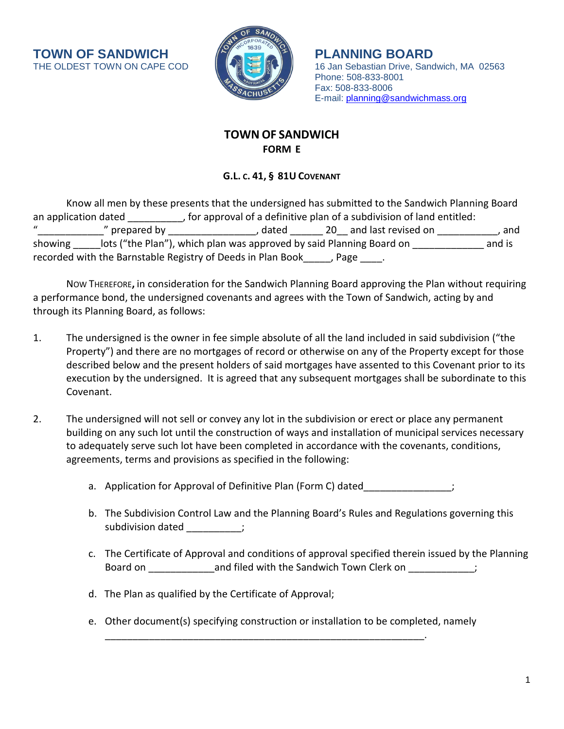**TOWN OF SANDWICH**  $\begin{pmatrix} 1 & 0 \\ 0 & 1 \end{pmatrix}$  **PLANNING BOARD**<br>THE OLDEST TOWN ON CAPE COD



16 Jan Sebastian Drive, Sandwich, MA 02563 Phone: 508-833-8001 Fax: 508-833-8006 E-mail: [planning@sandwichmass.org](mailto:planning@sandwichmass.org)

# **TOWN OF SANDWICH FORM E**

## **G.L. C. 41, § 81U COVENANT**

|                      | Know all men by these presents that the undersigned has submitted to the Sandwich Planning Board |                                                                        |  |                        |        |
|----------------------|--------------------------------------------------------------------------------------------------|------------------------------------------------------------------------|--|------------------------|--------|
| an application dated |                                                                                                  | , for approval of a definitive plan of a subdivision of land entitled: |  |                        |        |
| $\mathbf{u}$         | " prepared by                                                                                    | . dated                                                                |  | 20 and last revised on | . and  |
| showing              |                                                                                                  | lots ("the Plan"), which plan was approved by said Planning Board on   |  |                        | and is |
|                      | recorded with the Barnstable Registry of Deeds in Plan Book                                      |                                                                        |  | $Page$ .               |        |

NOW THEREFORE**,** in consideration for the Sandwich Planning Board approving the Plan without requiring a performance bond, the undersigned covenants and agrees with the Town of Sandwich, acting by and through its Planning Board, as follows:

- 1. The undersigned is the owner in fee simple absolute of all the land included in said subdivision ("the Property") and there are no mortgages of record or otherwise on any of the Property except for those described below and the present holders of said mortgages have assented to this Covenant prior to its execution by the undersigned. It is agreed that any subsequent mortgages shall be subordinate to this Covenant.
- 2. The undersigned will not sell or convey any lot in the subdivision or erect or place any permanent building on any such lot until the construction of ways and installation of municipal services necessary to adequately serve such lot have been completed in accordance with the covenants, conditions, agreements, terms and provisions as specified in the following:
	- a. Application for Approval of Definitive Plan (Form C) dated  $\hspace{1cm}$ ;
	- b. The Subdivision Control Law and the Planning Board's Rules and Regulations governing this subdivision dated  $\hspace{1.6cm}$ ;
	- c. The Certificate of Approval and conditions of approval specified therein issued by the Planning Board on \_\_\_\_\_\_\_\_\_\_\_\_\_\_\_\_and filed with the Sandwich Town Clerk on \_\_\_\_\_\_\_\_\_\_\_\_\_;
	- d. The Plan as qualified by the Certificate of Approval;
	- e. Other document(s) specifying construction or installation to be completed, namely

\_\_\_\_\_\_\_\_\_\_\_\_\_\_\_\_\_\_\_\_\_\_\_\_\_\_\_\_\_\_\_\_\_\_\_\_\_\_\_\_\_\_\_\_\_\_\_\_\_\_\_\_\_\_\_\_\_\_.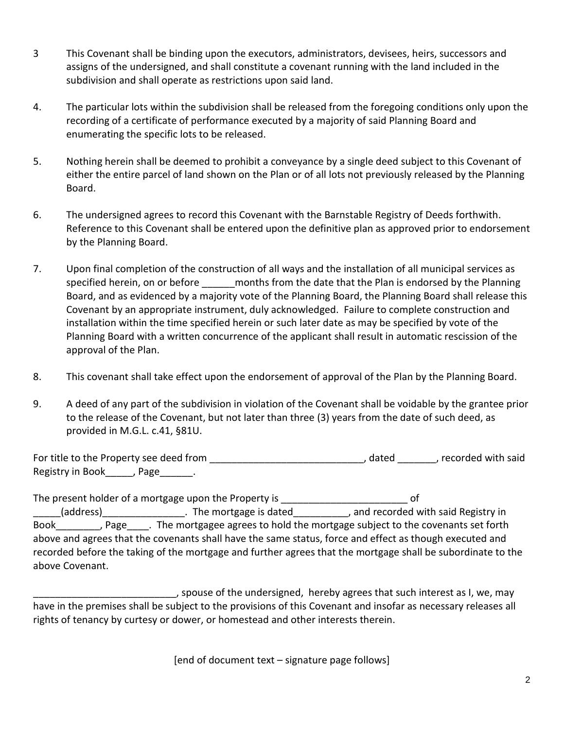- 3 This Covenant shall be binding upon the executors, administrators, devisees, heirs, successors and assigns of the undersigned, and shall constitute a covenant running with the land included in the subdivision and shall operate as restrictions upon said land.
- 4. The particular lots within the subdivision shall be released from the foregoing conditions only upon the recording of a certificate of performance executed by a majority of said Planning Board and enumerating the specific lots to be released.
- 5. Nothing herein shall be deemed to prohibit a conveyance by a single deed subject to this Covenant of either the entire parcel of land shown on the Plan or of all lots not previously released by the Planning Board.
- 6. The undersigned agrees to record this Covenant with the Barnstable Registry of Deeds forthwith. Reference to this Covenant shall be entered upon the definitive plan as approved prior to endorsement by the Planning Board.
- 7. Upon final completion of the construction of all ways and the installation of all municipal services as specified herein, on or before months from the date that the Plan is endorsed by the Planning Board, and as evidenced by a majority vote of the Planning Board, the Planning Board shall release this Covenant by an appropriate instrument, duly acknowledged. Failure to complete construction and installation within the time specified herein or such later date as may be specified by vote of the Planning Board with a written concurrence of the applicant shall result in automatic rescission of the approval of the Plan.
- 8. This covenant shall take effect upon the endorsement of approval of the Plan by the Planning Board.
- 9. A deed of any part of the subdivision in violation of the Covenant shall be voidable by the grantee prior to the release of the Covenant, but not later than three (3) years from the date of such deed, as provided in M.G.L. c.41, §81U.

For title to the Property see deed from example and the stated and the Property see deed from the said control of the said Registry in Book [1], Page [1].

The present holder of a mortgage upon the Property is \_\_\_\_\_\_\_\_\_\_\_\_\_\_\_\_\_\_\_\_\_\_\_\_\_\_\_ of \_\_\_\_\_(address)\_\_\_\_\_\_\_\_\_\_\_\_\_\_\_. The mortgage is dated\_\_\_\_\_\_\_\_\_\_, and recorded with said Registry in Book Fage Fig. The mortgagee agrees to hold the mortgage subject to the covenants set forth above and agrees that the covenants shall have the same status, force and effect as though executed and recorded before the taking of the mortgage and further agrees that the mortgage shall be subordinate to the above Covenant.

\_\_\_\_\_\_\_\_\_\_\_\_\_\_\_\_\_\_\_\_\_\_\_\_\_\_, spouse of the undersigned, hereby agrees that such interest as I, we, may have in the premises shall be subject to the provisions of this Covenant and insofar as necessary releases all rights of tenancy by curtesy or dower, or homestead and other interests therein.

[end of document text – signature page follows]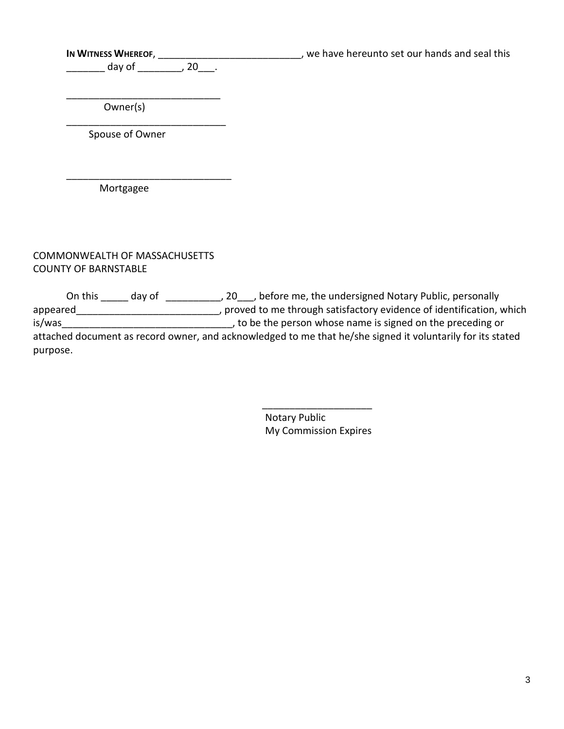\_\_\_\_\_\_\_\_\_\_ day of \_\_\_\_\_\_\_\_\_, 20\_\_\_\_.

\_\_\_\_\_\_\_\_\_\_\_\_\_\_\_\_\_\_\_\_\_\_\_\_\_\_\_\_

\_\_\_\_\_\_\_\_\_\_\_\_\_\_\_\_\_\_\_\_\_\_\_\_\_\_\_\_\_\_

**IN WITNESS WHEREOF,** \_\_\_\_\_\_\_\_\_\_\_\_\_\_\_\_\_\_\_\_\_\_\_\_\_\_, we have hereunto set our hands and seal this

 Owner(s)  $\frac{1}{\sqrt{2\pi}}$ 

Spouse of Owner

Mortgagee

COMMONWEALTH OF MASSACHUSETTS COUNTY OF BARNSTABLE

On this \_\_\_\_\_ day of \_\_\_\_\_\_\_\_\_\_, 20\_\_\_, before me, the undersigned Notary Public, personally appeared\_\_\_\_\_\_\_\_\_\_\_\_\_\_\_\_\_\_\_\_\_\_\_\_\_\_\_\_\_, proved to me through satisfactory evidence of identification, which is/was\_\_\_\_\_\_\_\_\_\_\_\_\_\_\_\_\_\_\_\_\_\_\_\_\_\_\_\_\_\_\_, to be the person whose name is signed on the preceding or attached document as record owner, and acknowledged to me that he/she signed it voluntarily for its stated purpose.

> Notary Public My Commission Expires

 $\overline{\phantom{a}}$  ,  $\overline{\phantom{a}}$  ,  $\overline{\phantom{a}}$  ,  $\overline{\phantom{a}}$  ,  $\overline{\phantom{a}}$  ,  $\overline{\phantom{a}}$  ,  $\overline{\phantom{a}}$  ,  $\overline{\phantom{a}}$  ,  $\overline{\phantom{a}}$  ,  $\overline{\phantom{a}}$  ,  $\overline{\phantom{a}}$  ,  $\overline{\phantom{a}}$  ,  $\overline{\phantom{a}}$  ,  $\overline{\phantom{a}}$  ,  $\overline{\phantom{a}}$  ,  $\overline{\phantom{a}}$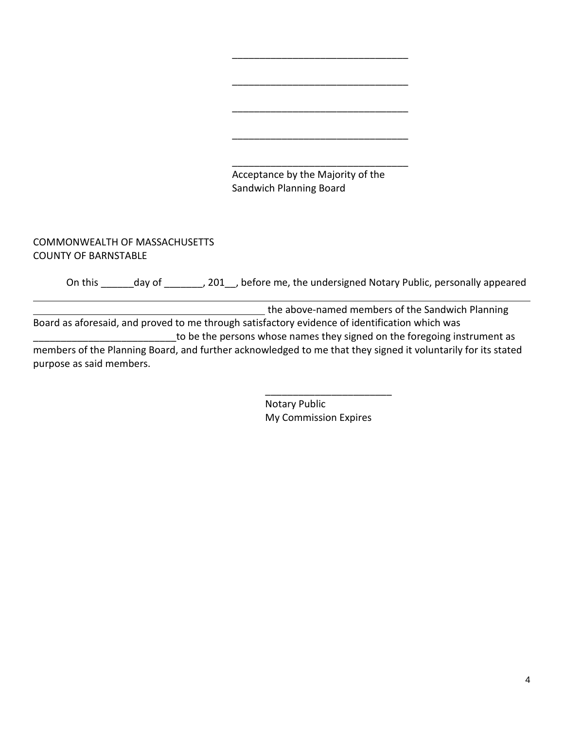

#### COMMONWEALTH OF MASSACHUSETTS COUNTY OF BARNSTABLE

l

On this \_\_\_\_\_\_day of \_\_\_\_\_\_\_, 201\_\_, before me, the undersigned Notary Public, personally appeared

| the above-named members of the Sandwich Planning                                                             |
|--------------------------------------------------------------------------------------------------------------|
| Board as aforesaid, and proved to me through satisfactory evidence of identification which was               |
| to be the persons whose names they signed on the foregoing instrument as                                     |
| members of the Planning Board, and further acknowledged to me that they signed it voluntarily for its stated |
| purpose as said members.                                                                                     |

Notary Public My Commission Expires

\_\_\_\_\_\_\_\_\_\_\_\_\_\_\_\_\_\_\_\_\_\_\_